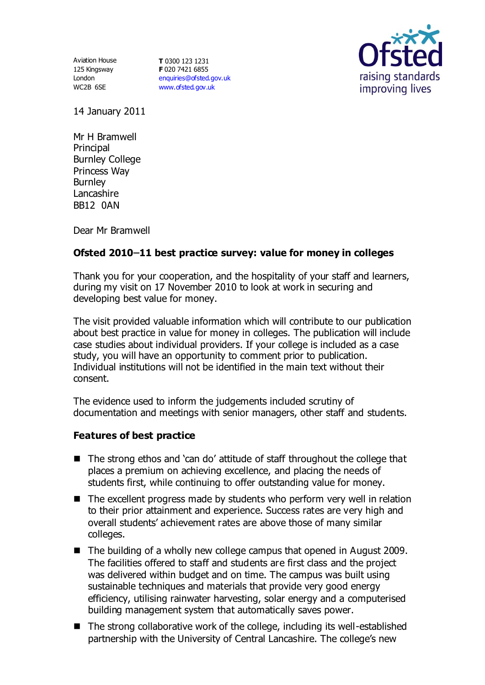Aviation House 125 Kingsway London WC2B 6SE

**T** 0300 123 1231 **F** 020 7421 6855 [enquiries@ofsted.gov.uk](mailto:enquiries@ofsted.gov.uk) [www.ofsted.gov.uk](http://www.ofsted.gov.uk/)



14 January 2011

Mr H Bramwell **Principal** Burnley College Princess Way **Burnley** Lancashire BB12 0AN

Dear Mr Bramwell

## Ofsted 2010-11 best practice survey: value for money in colleges

Thank you for your cooperation, and the hospitality of your staff and learners, during my visit on 17 November 2010 to look at work in securing and developing best value for money.

The visit provided valuable information which will contribute to our publication about best practice in value for money in colleges. The publication will include case studies about individual providers. If your college is included as a case study, you will have an opportunity to comment prior to publication. Individual institutions will not be identified in the main text without their consent.

The evidence used to inform the judgements included scrutiny of documentation and meetings with senior managers, other staff and students.

## **Features of best practice**

- The strong ethos and 'can do' attitude of staff throughout the college that places a premium on achieving excellence, and placing the needs of students first, while continuing to offer outstanding value for money.
- The excellent progress made by students who perform very well in relation to their prior attainment and experience. Success rates are very high and overall students' achievement rates are above those of many similar colleges.
- The building of a wholly new college campus that opened in August 2009. The facilities offered to staff and students are first class and the project was delivered within budget and on time. The campus was built using sustainable techniques and materials that provide very good energy efficiency, utilising rainwater harvesting, solar energy and a computerised building management system that automatically saves power.
- The strong collaborative work of the college, including its well-established partnership with the University of Central Lancashire. The college's new